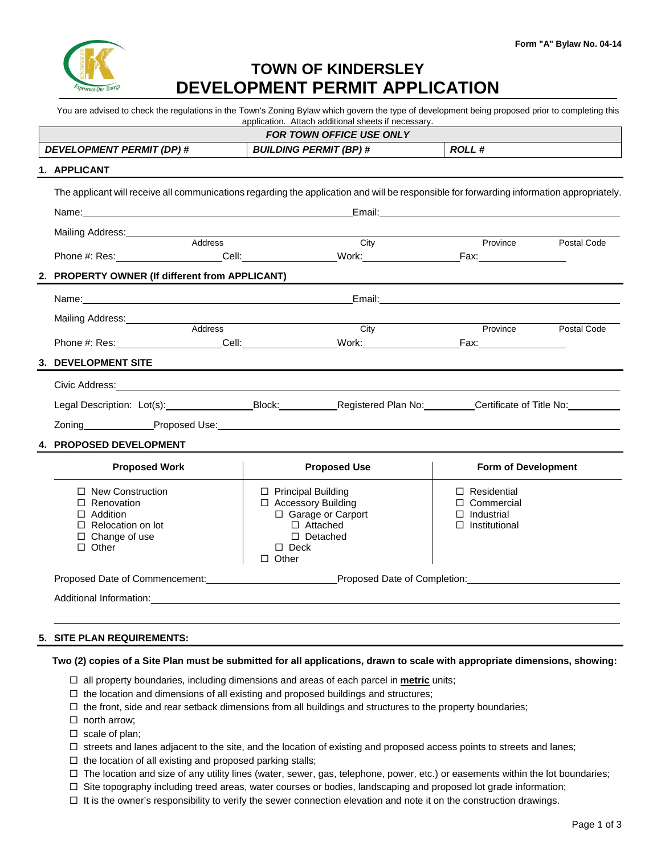

## **TOWN OF KINDERSLEY DEVELOPMENT PERMIT APPLICATION**

You are advised to check the regulations in the Town's Zoning Bylaw which govern the type of development being proposed prior to completing this application. Attach additional sheets if necessary.

| <b>FOR TOWN OFFICE USE ONLY</b> |                                                                                                                                                        |                                                           |                                                                                  |  |  |  |
|---------------------------------|--------------------------------------------------------------------------------------------------------------------------------------------------------|-----------------------------------------------------------|----------------------------------------------------------------------------------|--|--|--|
|                                 | <b>DEVELOPMENT PERMIT (DP) #</b>                                                                                                                       | <b>BUILDING PERMIT (BP) #</b>                             | ROLL #                                                                           |  |  |  |
|                                 | 1. APPLICANT                                                                                                                                           |                                                           |                                                                                  |  |  |  |
|                                 | The applicant will receive all communications regarding the application and will be responsible for forwarding information appropriately.              |                                                           |                                                                                  |  |  |  |
|                                 |                                                                                                                                                        |                                                           |                                                                                  |  |  |  |
|                                 | Mailing Address:<br><u>Mailing Address:</u>                                                                                                            |                                                           |                                                                                  |  |  |  |
|                                 | Address                                                                                                                                                | City                                                      | Province Postal Code                                                             |  |  |  |
|                                 |                                                                                                                                                        |                                                           |                                                                                  |  |  |  |
|                                 | 2. PROPERTY OWNER (If different from APPLICANT)                                                                                                        |                                                           | ,我们也不会有什么。""我们的人,我们也不会有什么?""我们的人,我们也不会有什么?""我们的人,我们也不会有什么?""我们的人,我们也不会有什么?""我们的人 |  |  |  |
|                                 |                                                                                                                                                        |                                                           |                                                                                  |  |  |  |
|                                 |                                                                                                                                                        |                                                           |                                                                                  |  |  |  |
|                                 | Address                                                                                                                                                | $\overline{City}$                                         | Province Postal Code                                                             |  |  |  |
|                                 |                                                                                                                                                        |                                                           |                                                                                  |  |  |  |
|                                 | 3. DEVELOPMENT SITE                                                                                                                                    |                                                           |                                                                                  |  |  |  |
|                                 | Civic Address: <u>Contract Communication</u> Civic Address:                                                                                            |                                                           |                                                                                  |  |  |  |
|                                 | Legal Description: Lot(s): _______________________Block: _______________________Registered Plan No: ____________Certificate of Title No: _____________ |                                                           |                                                                                  |  |  |  |
|                                 |                                                                                                                                                        |                                                           |                                                                                  |  |  |  |
|                                 | 4. PROPOSED DEVELOPMENT                                                                                                                                |                                                           |                                                                                  |  |  |  |
|                                 | <b>Proposed Work</b>                                                                                                                                   | <b>Proposed Use</b>                                       | <b>Form of Development</b>                                                       |  |  |  |
|                                 | $\Box$ New Construction<br>$\Box$ $\Box$ $\Box$ $\Box$ $\Box$                                                                                          | $\Box$ Principal Building<br>$\Box$ Association Dubble at | $\Box$ Residential<br>$\Box$ $\cap$ $\Box$ $\Box$ $\Box$                         |  |  |  |

| $\Box$ Renovation              | $\Box$ Accessory Building    | $\Box$ Commercial    |  |  |  |  |
|--------------------------------|------------------------------|----------------------|--|--|--|--|
| $\Box$ Addition                | $\Box$ Garage or Carport     | $\Box$ Industrial    |  |  |  |  |
| $\Box$ Relocation on lot       | $\Box$ Attached              | $\Box$ Institutional |  |  |  |  |
| $\Box$ Change of use           | $\Box$ Detached              |                      |  |  |  |  |
| $\Box$ Other                   | $\Box$ Deck                  |                      |  |  |  |  |
|                                | $\Box$ Other                 |                      |  |  |  |  |
| Proposed Date of Commencement: | Proposed Date of Completion: |                      |  |  |  |  |
| Additional Information:        |                              |                      |  |  |  |  |
|                                |                              |                      |  |  |  |  |

## **5. SITE PLAN REQUIREMENTS:**

## **Two (2) copies of a Site Plan must be submitted for all applications, drawn to scale with appropriate dimensions, showing:**

- $\Box$  all property boundaries, including dimensions and areas of each parcel in **metric** units;
- $\Box$  the location and dimensions of all existing and proposed buildings and structures;
- $\Box$  the front, side and rear setback dimensions from all buildings and structures to the property boundaries;
- $\Box$  north arrow;
- $\square$  scale of plan;
- $\square$  streets and lanes adjacent to the site, and the location of existing and proposed access points to streets and lanes;
- $\Box$  the location of all existing and proposed parking stalls;
- $\Box$  The location and size of any utility lines (water, sewer, gas, telephone, power, etc.) or easements within the lot boundaries;
- $\Box$  Site topography including treed areas, water courses or bodies, landscaping and proposed lot grade information;
- $\Box$  It is the owner's responsibility to verify the sewer connection elevation and note it on the construction drawings.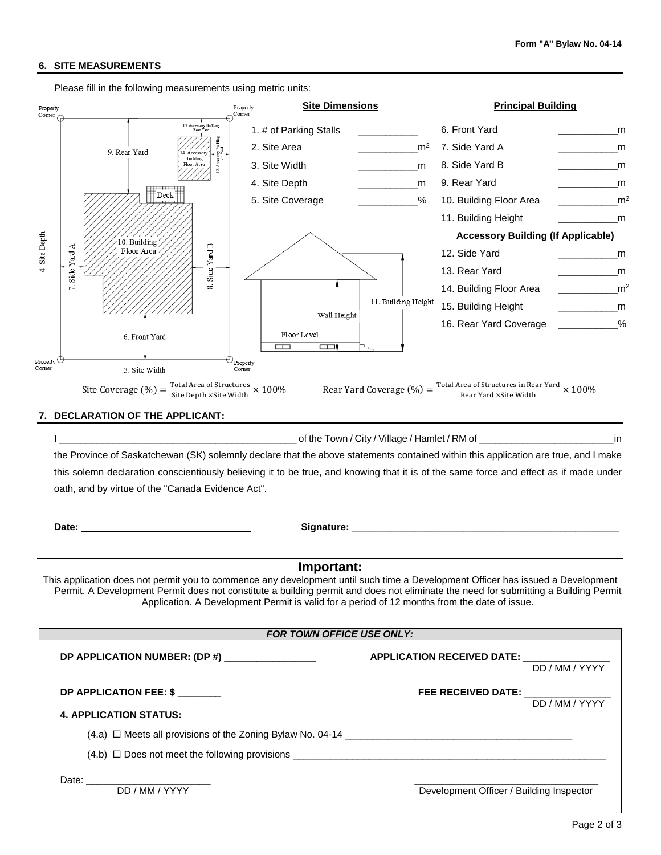## **6. SITE MEASUREMENTS**

Please fill in the following measurements using metric units: